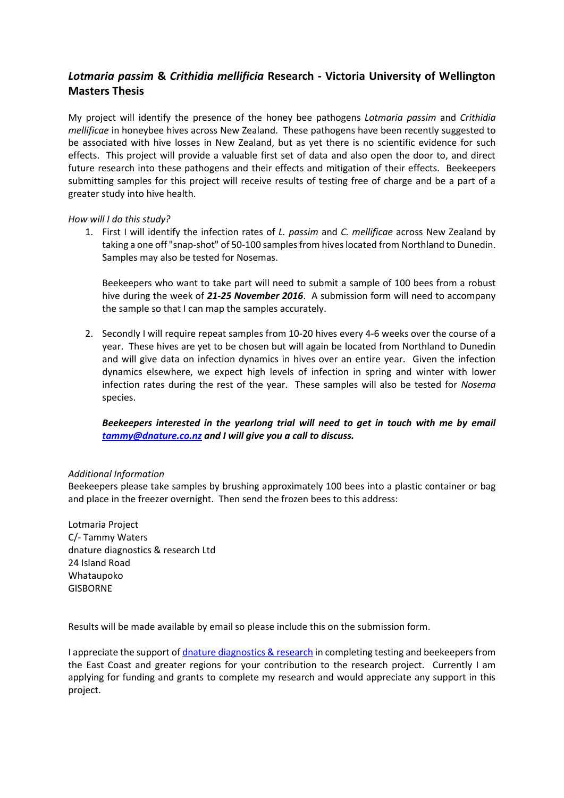## *Lotmaria passim* **&** *Crithidia mellificia* **Research - Victoria University of Wellington Masters Thesis**

My project will identify the presence of the honey bee pathogens *Lotmaria passim* and *Crithidia mellificae* in honeybee hives across New Zealand. These pathogens have been recently suggested to be associated with hive losses in New Zealand, but as yet there is no scientific evidence for such effects. This project will provide a valuable first set of data and also open the door to, and direct future research into these pathogens and their effects and mitigation of their effects. Beekeepers submitting samples for this project will receive results of testing free of charge and be a part of a greater study into hive health.

## *How will I do this study?*

1. First I will identify the infection rates of *L. passim* and *C. mellificae* across New Zealand by taking a one off "snap-shot" of 50-100 samples from hives located from Northland to Dunedin. Samples may also be tested for Nosemas.

Beekeepers who want to take part will need to submit a sample of 100 bees from a robust hive during the week of *21-25 November 2016*. A submission form will need to accompany the sample so that I can map the samples accurately.

2. Secondly I will require repeat samples from 10-20 hives every 4-6 weeks over the course of a year. These hives are yet to be chosen but will again be located from Northland to Dunedin and will give data on infection dynamics in hives over an entire year. Given the infection dynamics elsewhere, we expect high levels of infection in spring and winter with lower infection rates during the rest of the year. These samples will also be tested for *Nosema*  species.

## *Beekeepers interested in the yearlong trial will need to get in touch with me by email [tammy@dnature.co.nz](mailto:tammy@dnature.co.nz) and I will give you a call to discuss.*

## *Additional Information*

Beekeepers please take samples by brushing approximately 100 bees into a plastic container or bag and place in the freezer overnight. Then send the frozen bees to this address:

Lotmaria Project C/- Tammy Waters dnature diagnostics & research Ltd 24 Island Road Whataupoko GISBORNE

Results will be made available by email so please include this on the submission form.

I appreciate the support o[f dnature diagnostics & research](http://dnature.co.nz/bees/) in completing testing and beekeepers from the East Coast and greater regions for your contribution to the research project. Currently I am applying for funding and grants to complete my research and would appreciate any support in this project.